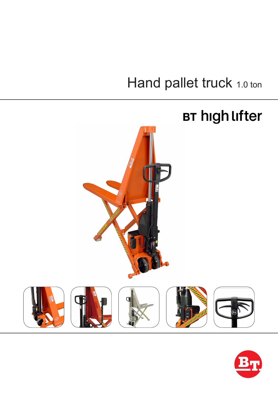# Hand pallet truck 1.0 ton



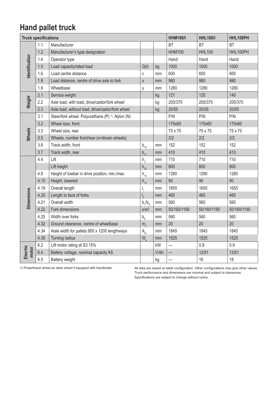### **Hand pallet truck**

| <b>Truck specifications</b> |      |                                                              |                  | <b>HHM100/I</b> | <b>HHL100/I</b>          | HHL100PH      |             |
|-----------------------------|------|--------------------------------------------------------------|------------------|-----------------|--------------------------|---------------|-------------|
| Identification              | 1.1  | Manufacturer                                                 |                  |                 | <b>BT</b>                | <b>BT</b>     | <b>BT</b>   |
|                             | 1.2  | Manufacturer's type designation                              |                  |                 | <b>HHM100</b>            | <b>HHL100</b> | HHL100PH    |
|                             | 1.4  | Operator type                                                |                  |                 | Hand                     | Hand          | Hand        |
|                             | 1.5  | Load capacity/rated load                                     | Q(t)             | kg              | 1000                     | 1000          | 1000        |
|                             | 1.6  | Load centre distance                                         | C                | mm              | 600                      | 600           | 600         |
|                             | 1.8  | Load distance, centre of drive axle to fork                  | $\mathsf X$      | mm              | 980                      | 980           | 980         |
|                             | 1.9  | Wheelbase                                                    | y                | mm              | 1280                     | 1280          | 1280        |
| Weight                      | 2.1  | Service weight                                               |                  | kg              | 121                      | 135           | 140         |
|                             | 2.2  | Axle load, with load, drive/castor/fork wheel                |                  | kg              | 205/370                  | 205/370       | 205/370     |
|                             | 2.3  | Axle load, without load, drive/castor/fork wheel             |                  | kg              | 20/55                    | 20/55         | 20/55       |
| Wheels                      | 3.1  | Steer/fork wheel. Polyurethane (P) <sup>1)</sup> , Nylon (N) |                  |                 | P/N                      | P/N           | P/N         |
|                             | 3.2  | Wheel size, front                                            |                  |                 | 175x60                   | 175x60        | 175x60      |
|                             | 3.3  | Wheel size, rear                                             |                  |                 | 75 x 75                  | 75 x 75       | 75 x 75     |
|                             | 3.5  | Wheels, number front/rear (x=driven wheels)                  |                  |                 | 2/2                      | 2/2           | 2/2         |
|                             | 3.6  | Track width, front                                           | $b_{10}$         | mm              | 152                      | 152           | 152         |
|                             | 3.7  | Track width, rear                                            | $b_{11}$         | mm              | 410                      | 410           | 410         |
| <b>Dimensions</b>           | 4.4  | Lift                                                         | $h_{3}$          | mm              | 710                      | 710           | 710         |
|                             |      | Lift height                                                  | $h_{23}$         | mm              | 800                      | 800           | 800         |
|                             | 4.9  | Height of towbar in drive position, min./max.                | $h_{14}$         | mm              | 1280                     | 1280          | 1280        |
|                             | 4.15 | Height, lowered                                              | $h_{13}$         | mm              | 90                       | 90            | 90          |
|                             | 4.19 | Overall length                                               | $\mathsf{I}_1$   | mm              | 1655                     | 1655          | 1655        |
|                             | 4.20 | Length to face of forks                                      | $\mathsf{I}_{2}$ | mm              | 465                      | 465           | 465         |
|                             | 4.21 | Overall width                                                | $b_1/b_2$        | mm              | 560                      | 560           | 560         |
|                             | 4.22 | Fork dimensions                                              | s/e/l            | mm              | 50/160/1190              | 50/160/1190   | 50/160/1190 |
|                             | 4.25 | Width over forks                                             | $b_{5}$          | mm              | 560                      | 560           | 560         |
|                             | 4.32 | Ground clearance, centre of wheelbase                        | m <sub>2</sub>   | mm              | 20                       | 20            | 20          |
|                             | 4.34 | Aisle width for pallets 800 x 1200 lengthways                | A <sub>st</sub>  | mm              | 1845                     | 1845          | 1845        |
|                             | 4.35 | Turning radius                                               | W.               | mm              | 1525                     | 1525          | 1525        |
| Elecrtic<br>motor           | 6.2  | Lift motor rating at S3 15%                                  |                  | kW              | $\overline{\phantom{0}}$ | 0.9           | 0.9         |
|                             | 6.4  | Battery voltage, nominal capacity K5                         |                  | V/Ah            |                          | 12/51         | 12/51       |
|                             | 6.5  | Battery weight                                               |                  | kg              |                          | 18            | 18          |

1) Powerthane wheel as steer wheel if equpped with handbrake. All data are based on table configuration. Other configurations may give other values. Truck performance and dimensions are nominal and subject to tolerances. Specifications are subject to change without notice.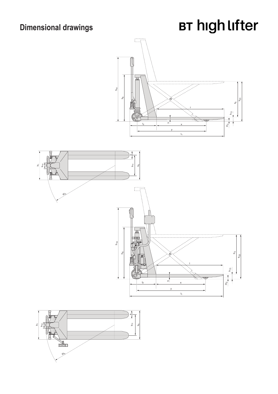### **Dimensional drawings**

# **BT high lifter**